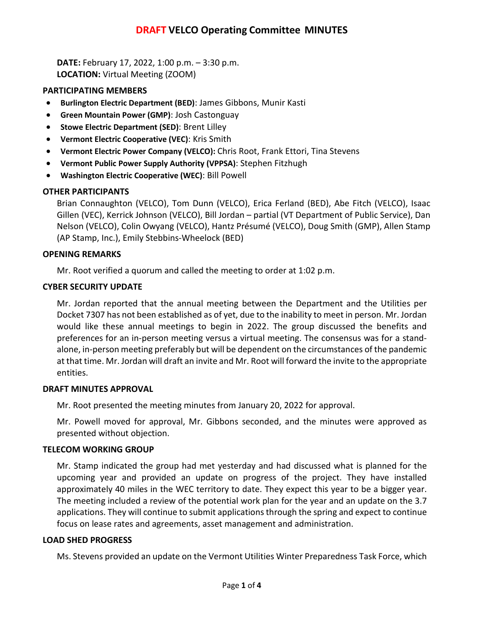# **DRAFT VELCO Operating Committee MINUTES**

**DATE:** February 17, 2022, 1:00 p.m. – 3:30 p.m. **LOCATION:** Virtual Meeting (ZOOM)

## **PARTICIPATING MEMBERS**

- **Burlington Electric Department (BED)**: James Gibbons, Munir Kasti
- **Green Mountain Power (GMP)**: Josh Castonguay
- **Stowe Electric Department (SED)**: Brent Lilley
- **Vermont Electric Cooperative (VEC)**: Kris Smith
- **Vermont Electric Power Company (VELCO):** Chris Root, Frank Ettori, Tina Stevens
- **Vermont Public Power Supply Authority (VPPSA)**: Stephen Fitzhugh
- **Washington Electric Cooperative (WEC)**: Bill Powell

# **OTHER PARTICIPANTS**

Brian Connaughton (VELCO), Tom Dunn (VELCO), Erica Ferland (BED), Abe Fitch (VELCO), Isaac Gillen (VEC), Kerrick Johnson (VELCO), Bill Jordan – partial (VT Department of Public Service), Dan Nelson (VELCO), Colin Owyang (VELCO), Hantz Présumé (VELCO), Doug Smith (GMP), Allen Stamp (AP Stamp, Inc.), Emily Stebbins-Wheelock (BED)

# **OPENING REMARKS**

Mr. Root verified a quorum and called the meeting to order at 1:02 p.m.

# **CYBER SECURITY UPDATE**

Mr. Jordan reported that the annual meeting between the Department and the Utilities per Docket 7307 has not been established as of yet, due to the inability to meet in person. Mr. Jordan would like these annual meetings to begin in 2022. The group discussed the benefits and preferences for an in-person meeting versus a virtual meeting. The consensus was for a standalone, in-person meeting preferably but will be dependent on the circumstances of the pandemic at that time. Mr. Jordan will draft an invite and Mr. Root will forward the invite to the appropriate entities.

## **DRAFT MINUTES APPROVAL**

Mr. Root presented the meeting minutes from January 20, 2022 for approval.

Mr. Powell moved for approval, Mr. Gibbons seconded, and the minutes were approved as presented without objection.

# **TELECOM WORKING GROUP**

Mr. Stamp indicated the group had met yesterday and had discussed what is planned for the upcoming year and provided an update on progress of the project. They have installed approximately 40 miles in the WEC territory to date. They expect this year to be a bigger year. The meeting included a review of the potential work plan for the year and an update on the 3.7 applications. They will continue to submit applications through the spring and expect to continue focus on lease rates and agreements, asset management and administration.

# **LOAD SHED PROGRESS**

Ms. Stevens provided an update on the Vermont Utilities Winter Preparedness Task Force, which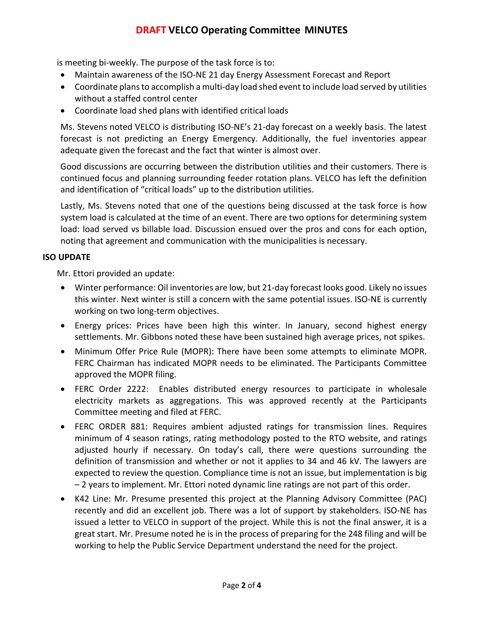# **DRAFT VELCO Operating Committee MINUTES**

is meeting bi-weekly. The purpose of the task force is to:

- Maintain awareness of the ISO-NE 21 day Energy Assessment Forecast and Report
- Coordinate plans to accomplish a multi-day load shed event to include load served by utilities without a staffed control center
- Coordinate load shed plans with identified critical loads

Ms. Stevens noted VELCO is distributing ISO-NE's 21-day forecast on a weekly basis. The latest forecast is not predicting an Energy Emergency. Additionally, the fuel inventories appear adequate given the forecast and the fact that winter is almost over.

Good discussions are occurring between the distribution utilities and their customers. There is continued focus and planning surrounding feeder rotation plans. VELCO has left the definition and identification of "critical loads" up to the distribution utilities.

Lastly, Ms. Stevens noted that one of the questions being discussed at the task force is how system load is calculated at the time of an event. There are two options for determining system load: load served vs billable load. Discussion ensued over the pros and cons for each option, noting that agreement and communication with the municipalities is necessary.

# **ISO UPDATE**

Mr. Ettori provided an update:

- Winter performance: Oil inventories are low, but 21-day forecast looks good. Likely no issues this winter. Next winter is still a concern with the same potential issues. ISO-NE is currently working on two long-term objectives.
- Energy prices: Prices have been high this winter. In January, second highest energy settlements. Mr. Gibbons noted these have been sustained high average prices, not spikes.
- Minimum Offer Price Rule (MOPR): There have been some attempts to eliminate MOPR. FERC Chairman has indicated MOPR needs to be eliminated. The Participants Committee approved the MOPR filing.
- FERC Order 2222: Enables distributed energy resources to participate in wholesale electricity markets as aggregations. This was approved recently at the Participants Committee meeting and filed at FERC.
- FERC ORDER 881: Requires ambient adjusted ratings for transmission lines. Requires minimum of 4 season ratings, rating methodology posted to the RTO website, and ratings adjusted hourly if necessary. On today's call, there were questions surrounding the definition of transmission and whether or not it applies to 34 and 46 kV. The lawyers are expected to review the question. Compliance time is not an issue, but implementation is big – 2 years to implement. Mr. Ettori noted dynamic line ratings are not part of this order.
- K42 Line: Mr. Presume presented this project at the Planning Advisory Committee (PAC) recently and did an excellent job. There was a lot of support by stakeholders. ISO-NE has issued a letter to VELCO in support of the project. While this is not the final answer, it is a great start. Mr. Presume noted he is in the process of preparing for the 248 filing and will be working to help the Public Service Department understand the need for the project.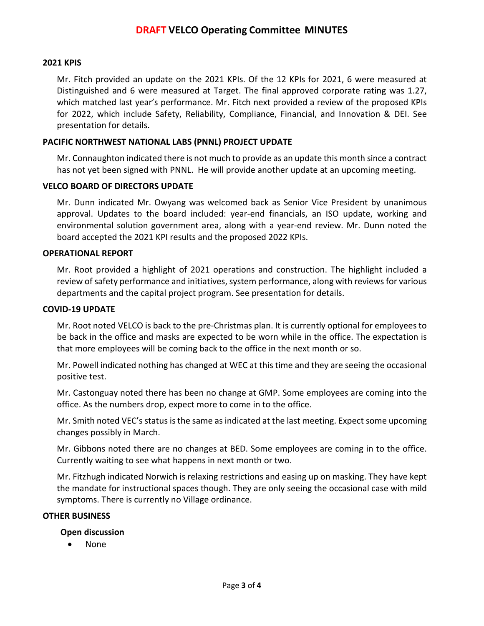## **2021 KPIS**

Mr. Fitch provided an update on the 2021 KPIs. Of the 12 KPIs for 2021, 6 were measured at Distinguished and 6 were measured at Target. The final approved corporate rating was 1.27, which matched last year's performance. Mr. Fitch next provided a review of the proposed KPIs for 2022, which include Safety, Reliability, Compliance, Financial, and Innovation & DEI. See presentation for details.

## **PACIFIC NORTHWEST NATIONAL LABS (PNNL) PROJECT UPDATE**

Mr. Connaughton indicated there is not much to provide as an update this month since a contract has not yet been signed with PNNL. He will provide another update at an upcoming meeting.

## **VELCO BOARD OF DIRECTORS UPDATE**

Mr. Dunn indicated Mr. Owyang was welcomed back as Senior Vice President by unanimous approval. Updates to the board included: year-end financials, an ISO update, working and environmental solution government area, along with a year-end review. Mr. Dunn noted the board accepted the 2021 KPI results and the proposed 2022 KPIs.

## **OPERATIONAL REPORT**

Mr. Root provided a highlight of 2021 operations and construction. The highlight included a review of safety performance and initiatives, system performance, along with reviews for various departments and the capital project program. See presentation for details.

#### **COVID-19 UPDATE**

Mr. Root noted VELCO is back to the pre-Christmas plan. It is currently optional for employees to be back in the office and masks are expected to be worn while in the office. The expectation is that more employees will be coming back to the office in the next month or so.

Mr. Powell indicated nothing has changed at WEC at this time and they are seeing the occasional positive test.

Mr. Castonguay noted there has been no change at GMP. Some employees are coming into the office. As the numbers drop, expect more to come in to the office.

Mr. Smith noted VEC's status is the same as indicated at the last meeting. Expect some upcoming changes possibly in March.

Mr. Gibbons noted there are no changes at BED. Some employees are coming in to the office. Currently waiting to see what happens in next month or two.

Mr. Fitzhugh indicated Norwich is relaxing restrictions and easing up on masking. They have kept the mandate for instructional spaces though. They are only seeing the occasional case with mild symptoms. There is currently no Village ordinance.

## **OTHER BUSINESS**

## **Open discussion**

• None